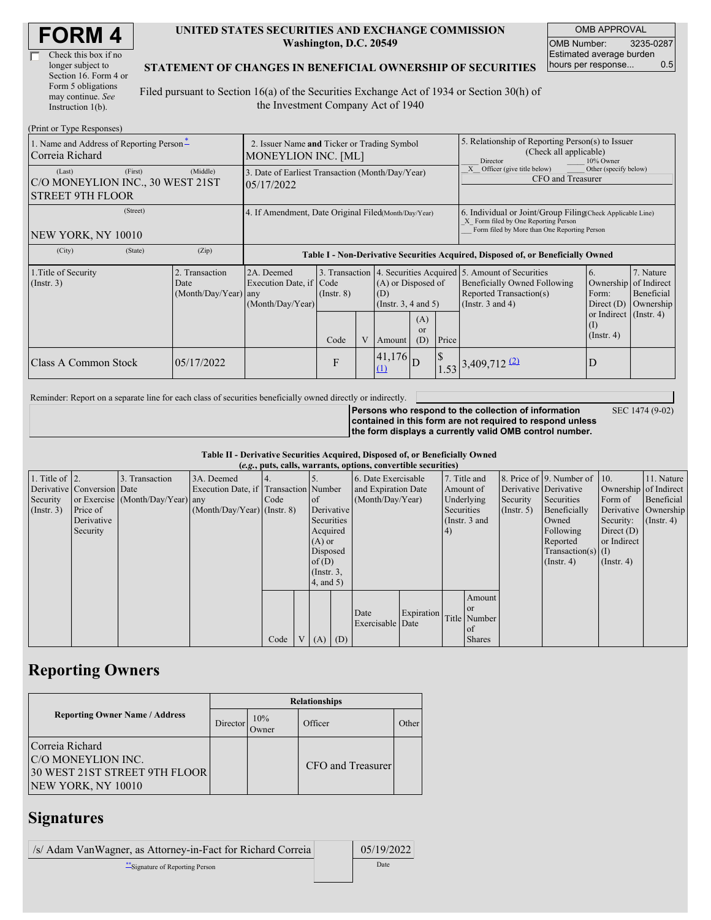| <b>FORM4</b> |
|--------------|
|--------------|

| Check this box if no  |
|-----------------------|
| longer subject to     |
| Section 16. Form 4 or |
| Form 5 obligations    |
| may continue. See     |
| Instruction $1(b)$ .  |

#### **UNITED STATES SECURITIES AND EXCHANGE COMMISSION Washington, D.C. 20549**

OMB APPROVAL OMB Number: 3235-0287 Estimated average burden hours per response... 0.5

SEC 1474 (9-02)

#### **STATEMENT OF CHANGES IN BENEFICIAL OWNERSHIP OF SECURITIES**

Filed pursuant to Section 16(a) of the Securities Exchange Act of 1934 or Section 30(h) of the Investment Company Act of 1940

| (Print or Type Responses)                                                        |                                                                           |                                                                                  |                                   |  |                                                   |                             |                                                                                                                                                    |                                                                                                                                                                                |                                                      |                                                     |
|----------------------------------------------------------------------------------|---------------------------------------------------------------------------|----------------------------------------------------------------------------------|-----------------------------------|--|---------------------------------------------------|-----------------------------|----------------------------------------------------------------------------------------------------------------------------------------------------|--------------------------------------------------------------------------------------------------------------------------------------------------------------------------------|------------------------------------------------------|-----------------------------------------------------|
| 1. Name and Address of Reporting Person <sup>*</sup><br>Correia Richard          | 2. Issuer Name and Ticker or Trading Symbol<br><b>MONEYLION INC. [ML]</b> |                                                                                  |                                   |  |                                                   |                             | 5. Relationship of Reporting Person(s) to Issuer<br>(Check all applicable)<br>Director<br>10% Owner                                                |                                                                                                                                                                                |                                                      |                                                     |
| (First)<br>(Last)<br>C/O MONEYLION INC., 30 WEST 21ST<br><b>STREET 9TH FLOOR</b> | (Middle)                                                                  | 3. Date of Earliest Transaction (Month/Day/Year)<br>05/17/2022                   |                                   |  |                                                   |                             | Other (specify below)<br>Officer (give title below)<br>CFO and Treasurer                                                                           |                                                                                                                                                                                |                                                      |                                                     |
| (Street)<br>NEW YORK, NY 10010                                                   | 4. If Amendment, Date Original Filed(Month/Day/Year)                      |                                                                                  |                                   |  |                                                   |                             | 6. Individual or Joint/Group Filing Check Applicable Line)<br>X Form filed by One Reporting Person<br>Form filed by More than One Reporting Person |                                                                                                                                                                                |                                                      |                                                     |
| (City)<br>(State)                                                                | (Zip)                                                                     | Table I - Non-Derivative Securities Acquired, Disposed of, or Beneficially Owned |                                   |  |                                                   |                             |                                                                                                                                                    |                                                                                                                                                                                |                                                      |                                                     |
| 1. Title of Security<br>(Insert. 3)                                              | 2. Transaction<br>Date<br>$(Month/Day/Year)$ any                          | 2A. Deemed<br>Execution Date, if Code<br>(Month/Day/Year)                        | 3. Transaction<br>$($ Instr. $8)$ |  | (A) or Disposed of<br>(D)<br>(Insert. 3, 4 and 5) |                             |                                                                                                                                                    | 4. Securities Acquired 5. Amount of Securities<br>6.<br>Beneficially Owned Following<br>Ownership<br>Reported Transaction(s)<br>Form:<br>(Instr. $3$ and $4$ )<br>Direct $(D)$ |                                                      | 7. Nature<br>of Indirect<br>Beneficial<br>Ownership |
|                                                                                  |                                                                           |                                                                                  | Code                              |  | Amount                                            | (A)<br><sub>or</sub><br>(D) | Price                                                                                                                                              |                                                                                                                                                                                | or Indirect $($ Instr. 4)<br>(I)<br>$($ Instr. 4 $)$ |                                                     |
| Class A Common Stock                                                             | 05/17/2022                                                                |                                                                                  | F                                 |  | (41, 176)<br>$\Omega$                             |                             | $\mathsf{\$}$                                                                                                                                      | $1.53$ 3,409,712 (2)                                                                                                                                                           | D                                                    |                                                     |

Reminder: Report on a separate line for each class of securities beneficially owned directly or indirectly.

**Persons who respond to the collection of information contained in this form are not required to respond unless the form displays a currently valid OMB control number.**

**Table II - Derivative Securities Acquired, Disposed of, or Beneficially Owned**

| (e.g., puts, calls, warrants, options, convertible securities) |                            |                                  |                                       |      |                |                 |  |                     |            |              |                 |                  |                              |                       |                      |
|----------------------------------------------------------------|----------------------------|----------------------------------|---------------------------------------|------|----------------|-----------------|--|---------------------|------------|--------------|-----------------|------------------|------------------------------|-----------------------|----------------------|
| 1. Title of $\vert$ 2.                                         |                            | 3. Transaction                   | 3A. Deemed                            |      |                |                 |  | 6. Date Exercisable |            | 7. Title and |                 |                  | 8. Price of 9. Number of 10. |                       | 11. Nature           |
|                                                                | Derivative Conversion Date |                                  | Execution Date, if Transaction Number |      |                |                 |  | and Expiration Date |            | Amount of    |                 |                  | Derivative Derivative        | Ownership of Indirect |                      |
| Security                                                       |                            | or Exercise (Month/Day/Year) any |                                       | Code |                | <sub>of</sub>   |  | (Month/Day/Year)    |            | Underlying   |                 | Security         | Securities                   | Form of               | Beneficial           |
| $($ Instr. 3 $)$                                               | Price of                   |                                  | $(Month/Day/Year)$ (Instr. 8)         |      |                | Derivative      |  |                     |            | Securities   |                 | $($ Instr. 5 $)$ | Beneficially                 |                       | Derivative Ownership |
|                                                                | Derivative                 |                                  |                                       |      |                | Securities      |  |                     |            |              | (Instr. $3$ and |                  | Owned                        | Security:             | $($ Instr. 4 $)$     |
|                                                                | Security                   |                                  |                                       |      |                | Acquired        |  |                     |            | 4)           |                 |                  | Following                    | Direct $(D)$          |                      |
|                                                                |                            |                                  |                                       |      |                | $(A)$ or        |  |                     |            |              |                 |                  | Reported                     | or Indirect           |                      |
|                                                                |                            |                                  |                                       |      |                | Disposed        |  |                     |            |              |                 |                  | $Transaction(s)$ (I)         |                       |                      |
|                                                                |                            |                                  |                                       |      |                | of(D)           |  |                     |            |              |                 |                  | $($ Instr. 4 $)$             | $($ Instr. 4 $)$      |                      |
|                                                                |                            |                                  |                                       |      |                | $($ Instr. $3,$ |  |                     |            |              |                 |                  |                              |                       |                      |
|                                                                |                            |                                  |                                       |      |                | $4$ , and $5$ ) |  |                     |            |              |                 |                  |                              |                       |                      |
|                                                                |                            |                                  |                                       |      |                |                 |  |                     |            |              | Amount          |                  |                              |                       |                      |
|                                                                |                            |                                  |                                       |      |                |                 |  |                     |            |              | <sub>or</sub>   |                  |                              |                       |                      |
|                                                                |                            |                                  |                                       |      |                |                 |  | Date                | Expiration |              | Title Number    |                  |                              |                       |                      |
|                                                                |                            |                                  |                                       |      |                |                 |  | Exercisable Date    |            |              | of              |                  |                              |                       |                      |
|                                                                |                            |                                  |                                       | Code | V <sub>1</sub> | $(A)$ $(D)$     |  |                     |            |              | <b>Shares</b>   |                  |                              |                       |                      |

## **Reporting Owners**

|                                                                                              | <b>Relationships</b> |                      |                   |       |  |  |  |  |  |
|----------------------------------------------------------------------------------------------|----------------------|----------------------|-------------------|-------|--|--|--|--|--|
| <b>Reporting Owner Name / Address</b>                                                        | Director             | 10%<br><b>J</b> wner | Officer           | Other |  |  |  |  |  |
| Correia Richard<br>C/O MONEYLION INC.<br>30 WEST 21ST STREET 9TH FLOOR<br>NEW YORK, NY 10010 |                      |                      | CFO and Treasurer |       |  |  |  |  |  |

### **Signatures**

| /s/ Adam VanWagner, as Attorney-in-Fact for Richard Correia | 05/19/2022 |
|-------------------------------------------------------------|------------|
| **Signature of Reporting Person                             | Date       |